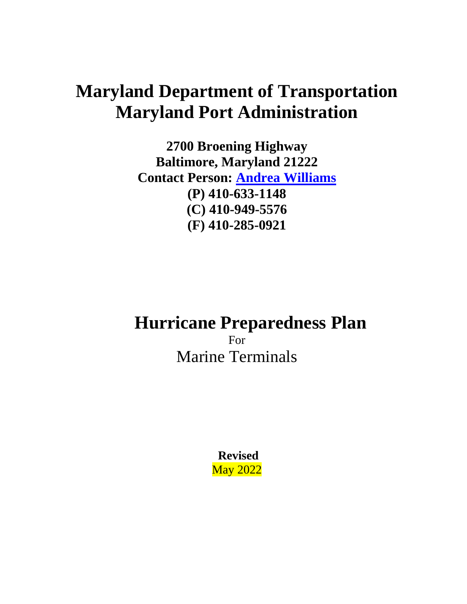# **Maryland Department of Transportation Maryland Port Administration**

**2700 Broening Highway Baltimore, Maryland 21222 Contact Person: [Andrea Williams](mailto:awilliams10@marylandports.com) (P) 410-633-1148 (C) 410-949-5576 (F) 410-285-0921**

# **Hurricane Preparedness Plan** For Marine Terminals

**Revised May 2022**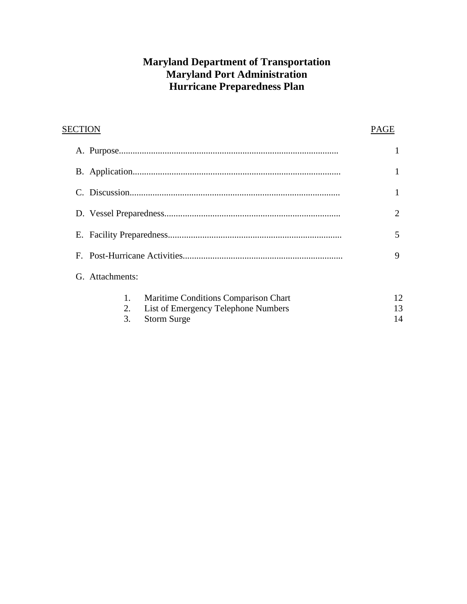## SECTION PAGE

| 2                                                                                                                   |                |  |  |  |  |
|---------------------------------------------------------------------------------------------------------------------|----------------|--|--|--|--|
| 5                                                                                                                   |                |  |  |  |  |
| 9                                                                                                                   |                |  |  |  |  |
| G. Attachments:                                                                                                     |                |  |  |  |  |
| Maritime Conditions Comparison Chart<br>1.<br>List of Emergency Telephone Numbers<br>2.<br>3.<br><b>Storm Surge</b> | 12<br>13<br>14 |  |  |  |  |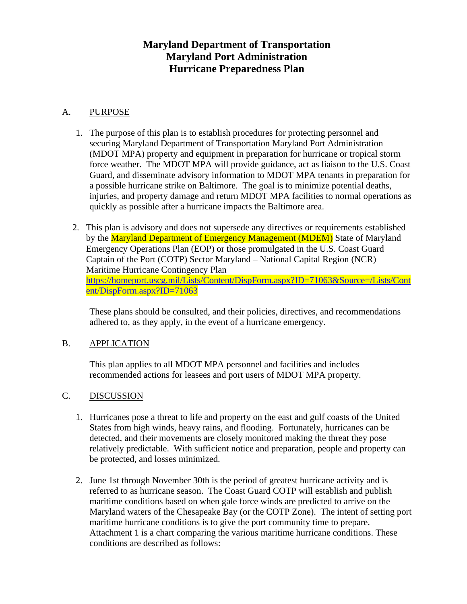#### A. PURPOSE

- 1. The purpose of this plan is to establish procedures for protecting personnel and securing Maryland Department of Transportation Maryland Port Administration (MDOT MPA) property and equipment in preparation for hurricane or tropical storm force weather. The MDOT MPA will provide guidance, act as liaison to the U.S. Coast Guard, and disseminate advisory information to MDOT MPA tenants in preparation for a possible hurricane strike on Baltimore. The goal is to minimize potential deaths, injuries, and property damage and return MDOT MPA facilities to normal operations as quickly as possible after a hurricane impacts the Baltimore area.
- 2. This plan is advisory and does not supersede any directives or requirements established by the Maryland Department of Emergency Management (MDEM) State of Maryland Emergency Operations Plan (EOP) or those promulgated in the U.S. Coast Guard Captain of the Port (COTP) Sector Maryland – National Capital Region (NCR) Maritime Hurricane Contingency Plan [https://homeport.uscg.mil/Lists/Content/DispForm.aspx?ID=71063&Source=/Lists/Cont](https://homeport.uscg.mil/Lists/Content/DispForm.aspx?ID=71063&Source=/Lists/Content/DispForm.aspx?ID=71063) [ent/DispForm.aspx?ID=71063](https://homeport.uscg.mil/Lists/Content/DispForm.aspx?ID=71063&Source=/Lists/Content/DispForm.aspx?ID=71063)

These plans should be consulted, and their policies, directives, and recommendations adhered to, as they apply, in the event of a hurricane emergency.

#### B. APPLICATION

This plan applies to all MDOT MPA personnel and facilities and includes recommended actions for leasees and port users of MDOT MPA property.

#### C. DISCUSSION

- 1. Hurricanes pose a threat to life and property on the east and gulf coasts of the United States from high winds, heavy rains, and flooding. Fortunately, hurricanes can be detected, and their movements are closely monitored making the threat they pose relatively predictable. With sufficient notice and preparation, people and property can be protected, and losses minimized.
- 2. June 1st through November 30th is the period of greatest hurricane activity and is referred to as hurricane season. The Coast Guard COTP will establish and publish maritime conditions based on when gale force winds are predicted to arrive on the Maryland waters of the Chesapeake Bay (or the COTP Zone). The intent of setting port maritime hurricane conditions is to give the port community time to prepare. Attachment 1 is a chart comparing the various maritime hurricane conditions. These conditions are described as follows: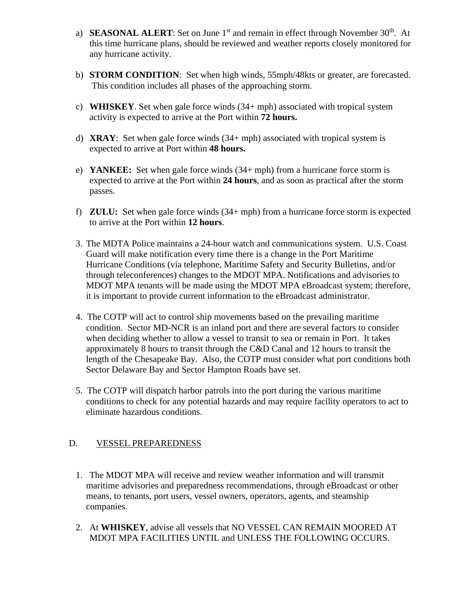- a) **SEASONAL ALERT**: Set on June 1<sup>st</sup> and remain in effect through November 30<sup>th</sup>. At this time hurricane plans, should be reviewed and weather reports closely monitored for any hurricane activity.
- b) **STORM CONDITION**: Set when high winds, 55mph/48kts or greater, are forecasted. This condition includes all phases of the approaching storm.
- c) **WHISKEY**. Set when gale force winds (34+ mph) associated with tropical system activity is expected to arrive at the Port within **72 hours.**
- d) **XRAY**: Set when gale force winds (34+ mph) associated with tropical system is expected to arrive at Port within **48 hours.**
- e) **YANKEE:** Set when gale force winds (34+ mph) from a hurricane force storm is expected to arrive at the Port within **24 hours**, and as soon as practical after the storm passes.
- f) **ZULU:** Set when gale force winds (34+ mph) from a hurricane force storm is expected to arrive at the Port within **12 hours**.
- 3. The MDTA Police maintains a 24-hour watch and communications system. U.S. Coast Guard will make notification every time there is a change in the Port Maritime Hurricane Conditions (via telephone, Maritime Safety and Security Bulletins, and/or through teleconferences) changes to the MDOT MPA. Notifications and advisories to MDOT MPA tenants will be made using the MDOT MPA eBroadcast system; therefore, it is important to provide current information to the eBroadcast administrator.
- 4. The COTP will act to control ship movements based on the prevailing maritime condition. Sector MD-NCR is an inland port and there are several factors to consider when deciding whether to allow a vessel to transit to sea or remain in Port. It takes approximately 8 hours to transit through the C&D Canal and 12 hours to transit the length of the Chesapeake Bay. Also, the COTP must consider what port conditions both Sector Delaware Bay and Sector Hampton Roads have set.
- 5. The COTP will dispatch harbor patrols into the port during the various maritime conditions to check for any potential hazards and may require facility operators to act to eliminate hazardous conditions.

#### D. VESSEL PREPAREDNESS

- 1. The MDOT MPA will receive and review weather information and will transmit maritime advisories and preparedness recommendations, through eBroadcast or other means, to tenants, port users, vessel owners, operators, agents, and steamship companies.
- 2. At **WHISKEY**, advise all vessels that NO VESSEL CAN REMAIN MOORED AT MDOT MPA FACILITIES UNTIL and UNLESS THE FOLLOWING OCCURS.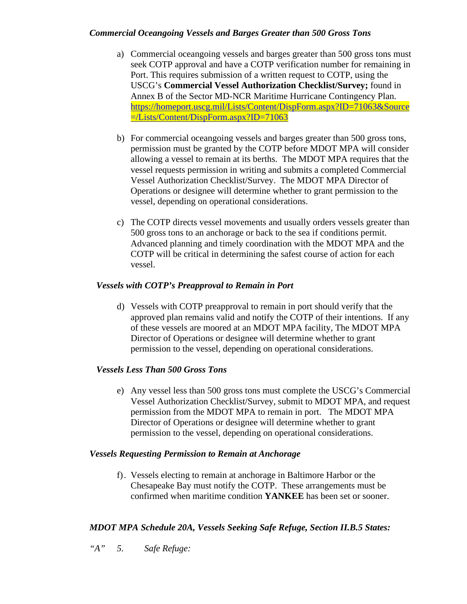#### *Commercial Oceangoing Vessels and Barges Greater than 500 Gross Tons*

- a) Commercial oceangoing vessels and barges greater than 500 gross tons must seek COTP approval and have a COTP verification number for remaining in Port. This requires submission of a written request to COTP, using the USCG's **Commercial Vessel Authorization Checklist/Survey;** found in Annex B of the Sector MD-NCR Maritime Hurricane Contingency Plan. [https://homeport.uscg.mil/Lists/Content/DispForm.aspx?ID=71063&Source](https://homeport.uscg.mil/Lists/Content/DispForm.aspx?ID=71063&Source=/Lists/Content/DispForm.aspx?ID=71063) [=/Lists/Content/DispForm.aspx?ID=71063](https://homeport.uscg.mil/Lists/Content/DispForm.aspx?ID=71063&Source=/Lists/Content/DispForm.aspx?ID=71063)
- b) For commercial oceangoing vessels and barges greater than 500 gross tons, permission must be granted by the COTP before MDOT MPA will consider allowing a vessel to remain at its berths. The MDOT MPA requires that the vessel requests permission in writing and submits a completed Commercial Vessel Authorization Checklist/Survey. The MDOT MPA Director of Operations or designee will determine whether to grant permission to the vessel, depending on operational considerations.
- c) The COTP directs vessel movements and usually orders vessels greater than 500 gross tons to an anchorage or back to the sea if conditions permit. Advanced planning and timely coordination with the MDOT MPA and the COTP will be critical in determining the safest course of action for each vessel.

#### *Vessels with COTP's Preapproval to Remain in Port*

d) Vessels with COTP preapproval to remain in port should verify that the approved plan remains valid and notify the COTP of their intentions. If any of these vessels are moored at an MDOT MPA facility, The MDOT MPA Director of Operations or designee will determine whether to grant permission to the vessel, depending on operational considerations.

#### *Vessels Less Than 500 Gross Tons*

e) Any vessel less than 500 gross tons must complete the USCG's Commercial Vessel Authorization Checklist/Survey, submit to MDOT MPA, and request permission from the MDOT MPA to remain in port. The MDOT MPA Director of Operations or designee will determine whether to grant permission to the vessel, depending on operational considerations.

#### *Vessels Requesting Permission to Remain at Anchorage*

f). Vessels electing to remain at anchorage in Baltimore Harbor or the Chesapeake Bay must notify the COTP. These arrangements must be confirmed when maritime condition **YANKEE** has been set or sooner.

#### *MDOT MPA Schedule 20A, Vessels Seeking Safe Refuge, Section II.B.5 States:*

*"A" 5. Safe Refuge:*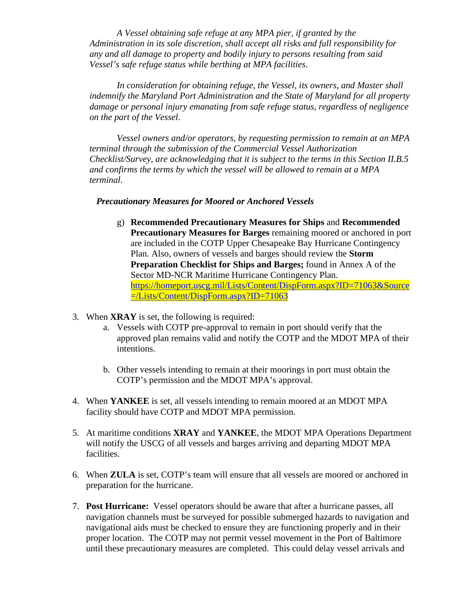*A Vessel obtaining safe refuge at any MPA pier, if granted by the Administration in its sole discretion, shall accept all risks and full responsibility for any and all damage to property and bodily injury to persons resulting from said Vessel's safe refuge status while berthing at MPA facilities.*

*In consideration for obtaining refuge, the Vessel, its owners, and Master shall indemnify the Maryland Port Administration and the State of Maryland for all property damage or personal injury emanating from safe refuge status, regardless of negligence on the part of the Vessel.*

*Vessel owners and/or operators, by requesting permission to remain at an MPA terminal through the submission of the Commercial Vessel Authorization Checklist/Survey, are acknowledging that it is subject to the terms in this Section II.B.5 and confirms the terms by which the vessel will be allowed to remain at a MPA terminal.*

#### *Precautionary Measures for Moored or Anchored Vessels*

- g) **Recommended Precautionary Measures for Ships** and **Recommended Precautionary Measures for Barges** remaining moored or anchored in port are included in the COTP Upper Chesapeake Bay Hurricane Contingency Plan. Also, owners of vessels and barges should review the **Storm Preparation Checklist for Ships and Barges;** found in Annex A of the Sector MD-NCR Maritime Hurricane Contingency Plan. [https://homeport.uscg.mil/Lists/Content/DispForm.aspx?ID=71063&Source](https://homeport.uscg.mil/Lists/Content/DispForm.aspx?ID=71063&Source=/Lists/Content/DispForm.aspx?ID=71063) [=/Lists/Content/DispForm.aspx?ID=71063](https://homeport.uscg.mil/Lists/Content/DispForm.aspx?ID=71063&Source=/Lists/Content/DispForm.aspx?ID=71063)
- 3. When **XRAY** is set, the following is required:
	- a. Vessels with COTP pre-approval to remain in port should verify that the approved plan remains valid and notify the COTP and the MDOT MPA of their intentions.
	- b. Other vessels intending to remain at their moorings in port must obtain the COTP's permission and the MDOT MPA's approval.
- 4. When **YANKEE** is set, all vessels intending to remain moored at an MDOT MPA facility should have COTP and MDOT MPA permission.
- 5. At maritime conditions **XRAY** and **YANKEE**, the MDOT MPA Operations Department will notify the USCG of all vessels and barges arriving and departing MDOT MPA facilities.
- 6. When **ZULA** is set, COTP's team will ensure that all vessels are moored or anchored in preparation for the hurricane.
- 7. **Post Hurricane:** Vessel operators should be aware that after a hurricane passes, all navigation channels must be surveyed for possible submerged hazards to navigation and navigational aids must be checked to ensure they are functioning properly and in their proper location. The COTP may not permit vessel movement in the Port of Baltimore until these precautionary measures are completed. This could delay vessel arrivals and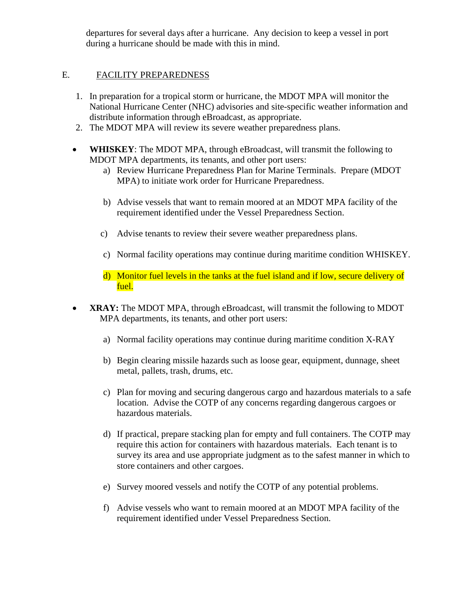departures for several days after a hurricane. Any decision to keep a vessel in port during a hurricane should be made with this in mind.

#### E. FACILITY PREPAREDNESS

- 1. In preparation for a tropical storm or hurricane, the MDOT MPA will monitor the National Hurricane Center (NHC) advisories and site-specific weather information and distribute information through eBroadcast, as appropriate.
- 2. The MDOT MPA will review its severe weather preparedness plans.
- **WHISKEY**: The MDOT MPA, through eBroadcast, will transmit the following to MDOT MPA departments, its tenants, and other port users:
	- a) Review Hurricane Preparedness Plan for Marine Terminals. Prepare (MDOT MPA) to initiate work order for Hurricane Preparedness.
	- b) Advise vessels that want to remain moored at an MDOT MPA facility of the requirement identified under the Vessel Preparedness Section.
	- c) Advise tenants to review their severe weather preparedness plans.
	- c) Normal facility operations may continue during maritime condition WHISKEY.
	- d) Monitor fuel levels in the tanks at the fuel island and if low, secure delivery of fuel.
- **XRAY:** The MDOT MPA, through eBroadcast, will transmit the following to MDOT MPA departments, its tenants, and other port users:
	- a) Normal facility operations may continue during maritime condition X-RAY
	- b) Begin clearing missile hazards such as loose gear, equipment, dunnage, sheet metal, pallets, trash, drums, etc.
	- c) Plan for moving and securing dangerous cargo and hazardous materials to a safe location. Advise the COTP of any concerns regarding dangerous cargoes or hazardous materials.
	- d) If practical, prepare stacking plan for empty and full containers. The COTP may require this action for containers with hazardous materials. Each tenant is to survey its area and use appropriate judgment as to the safest manner in which to store containers and other cargoes.
	- e) Survey moored vessels and notify the COTP of any potential problems.
	- f) Advise vessels who want to remain moored at an MDOT MPA facility of the requirement identified under Vessel Preparedness Section.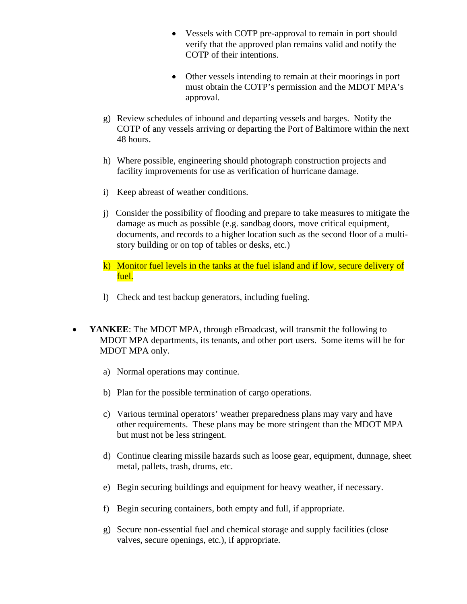- Vessels with COTP pre-approval to remain in port should verify that the approved plan remains valid and notify the COTP of their intentions.
- Other vessels intending to remain at their moorings in port must obtain the COTP's permission and the MDOT MPA's approval.
- g) Review schedules of inbound and departing vessels and barges. Notify the COTP of any vessels arriving or departing the Port of Baltimore within the next 48 hours.
- h) Where possible, engineering should photograph construction projects and facility improvements for use as verification of hurricane damage.
- i) Keep abreast of weather conditions.
- j) Consider the possibility of flooding and prepare to take measures to mitigate the damage as much as possible (e.g. sandbag doors, move critical equipment, documents, and records to a higher location such as the second floor of a multistory building or on top of tables or desks, etc.)
- k) Monitor fuel levels in the tanks at the fuel island and if low, secure delivery of fuel.
- l) Check and test backup generators, including fueling.
- **YANKEE**: The MDOT MPA, through eBroadcast, will transmit the following to MDOT MPA departments, its tenants, and other port users. Some items will be for MDOT MPA only.
	- a) Normal operations may continue.
	- b) Plan for the possible termination of cargo operations.
	- c) Various terminal operators' weather preparedness plans may vary and have other requirements. These plans may be more stringent than the MDOT MPA but must not be less stringent.
	- d) Continue clearing missile hazards such as loose gear, equipment, dunnage, sheet metal, pallets, trash, drums, etc.
	- e) Begin securing buildings and equipment for heavy weather, if necessary.
	- f) Begin securing containers, both empty and full, if appropriate.
	- g) Secure non-essential fuel and chemical storage and supply facilities (close valves, secure openings, etc.), if appropriate.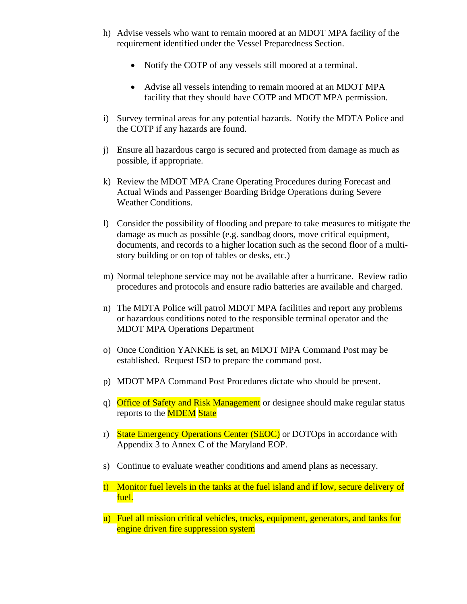- h) Advise vessels who want to remain moored at an MDOT MPA facility of the requirement identified under the Vessel Preparedness Section.
	- Notify the COTP of any vessels still moored at a terminal.
	- Advise all vessels intending to remain moored at an MDOT MPA facility that they should have COTP and MDOT MPA permission.
- i) Survey terminal areas for any potential hazards. Notify the MDTA Police and the COTP if any hazards are found.
- j) Ensure all hazardous cargo is secured and protected from damage as much as possible, if appropriate.
- k) Review the MDOT MPA Crane Operating Procedures during Forecast and Actual Winds and Passenger Boarding Bridge Operations during Severe Weather Conditions.
- l) Consider the possibility of flooding and prepare to take measures to mitigate the damage as much as possible (e.g. sandbag doors, move critical equipment, documents, and records to a higher location such as the second floor of a multistory building or on top of tables or desks, etc.)
- m) Normal telephone service may not be available after a hurricane. Review radio procedures and protocols and ensure radio batteries are available and charged.
- n) The MDTA Police will patrol MDOT MPA facilities and report any problems or hazardous conditions noted to the responsible terminal operator and the MDOT MPA Operations Department
- o) Once Condition YANKEE is set, an MDOT MPA Command Post may be established. Request ISD to prepare the command post.
- p) MDOT MPA Command Post Procedures dictate who should be present.
- q) Office of Safety and Risk Management or designee should make regular status reports to the **MDEM** State
- r) State Emergency Operations Center (SEOC) or DOTOps in accordance with Appendix 3 to Annex C of the Maryland EOP.
- s) Continue to evaluate weather conditions and amend plans as necessary.
- t) Monitor fuel levels in the tanks at the fuel island and if low, secure delivery of fuel.
- u) Fuel all mission critical vehicles, trucks, equipment, generators, and tanks for engine driven fire suppression system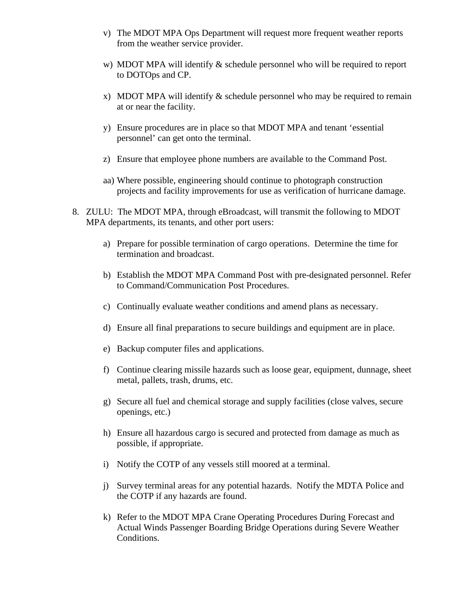- v) The MDOT MPA Ops Department will request more frequent weather reports from the weather service provider.
- w) MDOT MPA will identify & schedule personnel who will be required to report to DOTOps and CP.
- x) MDOT MPA will identify & schedule personnel who may be required to remain at or near the facility.
- y) Ensure procedures are in place so that MDOT MPA and tenant 'essential personnel' can get onto the terminal.
- z) Ensure that employee phone numbers are available to the Command Post.
- aa) Where possible, engineering should continue to photograph construction projects and facility improvements for use as verification of hurricane damage.
- 8. ZULU: The MDOT MPA, through eBroadcast, will transmit the following to MDOT MPA departments, its tenants, and other port users:
	- a) Prepare for possible termination of cargo operations. Determine the time for termination and broadcast.
	- b) Establish the MDOT MPA Command Post with pre-designated personnel. Refer to Command/Communication Post Procedures.
	- c) Continually evaluate weather conditions and amend plans as necessary.
	- d) Ensure all final preparations to secure buildings and equipment are in place.
	- e) Backup computer files and applications.
	- f) Continue clearing missile hazards such as loose gear, equipment, dunnage, sheet metal, pallets, trash, drums, etc.
	- g) Secure all fuel and chemical storage and supply facilities (close valves, secure openings, etc.)
	- h) Ensure all hazardous cargo is secured and protected from damage as much as possible, if appropriate.
	- i) Notify the COTP of any vessels still moored at a terminal.
	- j) Survey terminal areas for any potential hazards. Notify the MDTA Police and the COTP if any hazards are found.
	- k) Refer to the MDOT MPA Crane Operating Procedures During Forecast and Actual Winds Passenger Boarding Bridge Operations during Severe Weather Conditions.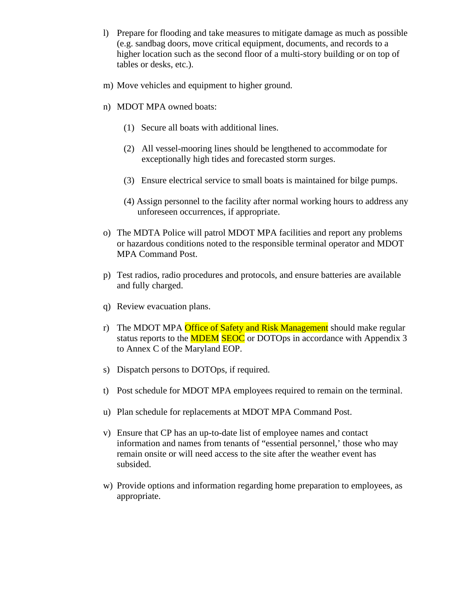- l) Prepare for flooding and take measures to mitigate damage as much as possible (e.g. sandbag doors, move critical equipment, documents, and records to a higher location such as the second floor of a multi-story building or on top of tables or desks, etc.).
- m) Move vehicles and equipment to higher ground.
- n) MDOT MPA owned boats:
	- (1) Secure all boats with additional lines.
	- (2) All vessel-mooring lines should be lengthened to accommodate for exceptionally high tides and forecasted storm surges.
	- (3) Ensure electrical service to small boats is maintained for bilge pumps.
	- (4) Assign personnel to the facility after normal working hours to address any unforeseen occurrences, if appropriate.
- o) The MDTA Police will patrol MDOT MPA facilities and report any problems or hazardous conditions noted to the responsible terminal operator and MDOT MPA Command Post.
- p) Test radios, radio procedures and protocols, and ensure batteries are available and fully charged.
- q) Review evacuation plans.
- r) The MDOT MPA Office of Safety and Risk Management should make regular status reports to the **MDEM SEOC** or DOTOps in accordance with Appendix 3 to Annex C of the Maryland EOP.
- s) Dispatch persons to DOTOps, if required.
- t) Post schedule for MDOT MPA employees required to remain on the terminal.
- u) Plan schedule for replacements at MDOT MPA Command Post.
- v) Ensure that CP has an up-to-date list of employee names and contact information and names from tenants of "essential personnel,' those who may remain onsite or will need access to the site after the weather event has subsided.
- w) Provide options and information regarding home preparation to employees, as appropriate.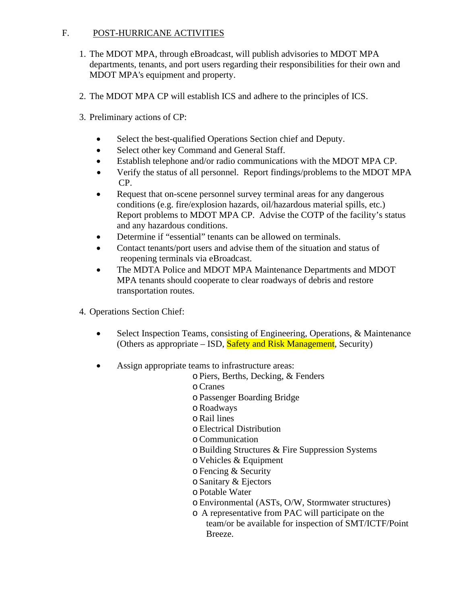### F. POST-HURRICANE ACTIVITIES

- 1. The MDOT MPA, through eBroadcast, will publish advisories to MDOT MPA departments, tenants, and port users regarding their responsibilities for their own and MDOT MPA's equipment and property.
- 2. The MDOT MPA CP will establish ICS and adhere to the principles of ICS.
- 3. Preliminary actions of CP:
	- Select the best-qualified Operations Section chief and Deputy.
	- Select other key Command and General Staff.
	- Establish telephone and/or radio communications with the MDOT MPA CP.
	- Verify the status of all personnel. Report findings/problems to the MDOT MPA CP.
	- Request that on-scene personnel survey terminal areas for any dangerous conditions (e.g. fire/explosion hazards, oil/hazardous material spills, etc.) Report problems to MDOT MPA CP. Advise the COTP of the facility's status and any hazardous conditions.
	- Determine if "essential" tenants can be allowed on terminals.
	- Contact tenants/port users and advise them of the situation and status of reopening terminals via eBroadcast.
	- The MDTA Police and MDOT MPA Maintenance Departments and MDOT MPA tenants should cooperate to clear roadways of debris and restore transportation routes.
- 4. Operations Section Chief:
	- Select Inspection Teams, consisting of Engineering, Operations, & Maintenance (Others as appropriate – ISD, Safety and Risk Management, Security)
	- Assign appropriate teams to infrastructure areas:
		- oPiers, Berths, Decking, & Fenders oCranes oPassenger Boarding Bridge oRoadways oRail lines oElectrical Distribution oCommunication oBuilding Structures & Fire Suppression Systems o Vehicles & Equipment oFencing & Security oSanitary & Ejectors oPotable Water oEnvironmental (ASTs, O/W, Stormwater structures) o A representative from PAC will participate on the team/or be available for inspection of SMT/ICTF/Point Breeze.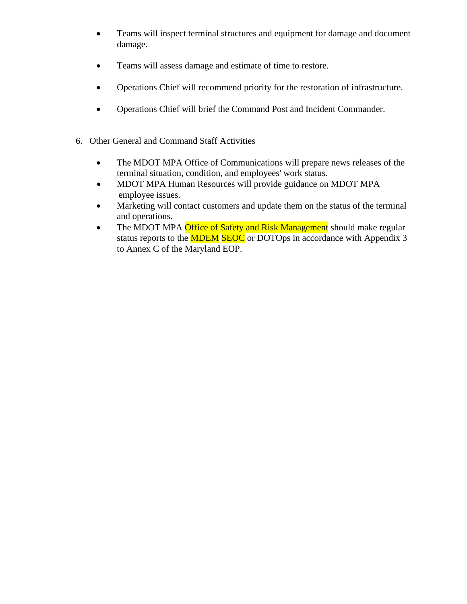- Teams will inspect terminal structures and equipment for damage and document damage.
- Teams will assess damage and estimate of time to restore.
- Operations Chief will recommend priority for the restoration of infrastructure.
- Operations Chief will brief the Command Post and Incident Commander.
- 6. Other General and Command Staff Activities
	- The MDOT MPA Office of Communications will prepare news releases of the terminal situation, condition, and employees' work status.
	- MDOT MPA Human Resources will provide guidance on MDOT MPA employee issues.
	- Marketing will contact customers and update them on the status of the terminal and operations.
	- The MDOT MPA *Office of Safety and Risk Management* should make regular status reports to the **MDEM** SEOC or DOTOps in accordance with Appendix 3 to Annex C of the Maryland EOP.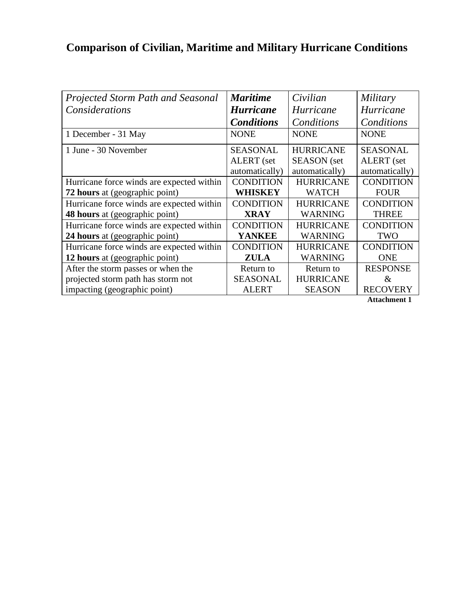# **Comparison of Civilian, Maritime and Military Hurricane Conditions**

| Projected Storm Path and Seasonal         | <b>Maritime</b>   | Civilian           | Military            |
|-------------------------------------------|-------------------|--------------------|---------------------|
| Considerations                            | <b>Hurricane</b>  | <i>Hurricane</i>   | <i>Hurricane</i>    |
|                                           | <b>Conditions</b> | Conditions         | Conditions          |
| 1 December - 31 May                       | <b>NONE</b>       | <b>NONE</b>        | <b>NONE</b>         |
| 1 June - 30 November                      | <b>SEASONAL</b>   | <b>HURRICANE</b>   | <b>SEASONAL</b>     |
|                                           | <b>ALERT</b> (set | <b>SEASON</b> (set | <b>ALERT</b> (set   |
|                                           | automatically)    | automatically)     | automatically)      |
| Hurricane force winds are expected within | <b>CONDITION</b>  | <b>HURRICANE</b>   | <b>CONDITION</b>    |
| <b>72 hours</b> at (geographic point)     | <b>WHISKEY</b>    | <b>WATCH</b>       | <b>FOUR</b>         |
| Hurricane force winds are expected within | <b>CONDITION</b>  | <b>HURRICANE</b>   | <b>CONDITION</b>    |
| 48 hours at (geographic point)            | <b>XRAY</b>       | <b>WARNING</b>     | <b>THREE</b>        |
| Hurricane force winds are expected within | <b>CONDITION</b>  | <b>HURRICANE</b>   | <b>CONDITION</b>    |
| <b>24 hours</b> at (geographic point)     | <b>YANKEE</b>     | <b>WARNING</b>     | TWO                 |
| Hurricane force winds are expected within | <b>CONDITION</b>  | <b>HURRICANE</b>   | <b>CONDITION</b>    |
| 12 hours at (geographic point)            | <b>ZULA</b>       | <b>WARNING</b>     | <b>ONE</b>          |
| After the storm passes or when the        | Return to         | Return to          | <b>RESPONSE</b>     |
| projected storm path has storm not        | <b>SEASONAL</b>   | <b>HURRICANE</b>   | $\&$                |
| impacting (geographic point)              | <b>ALERT</b>      | <b>SEASON</b>      | <b>RECOVERY</b>     |
|                                           |                   |                    | <b>Attachment 1</b> |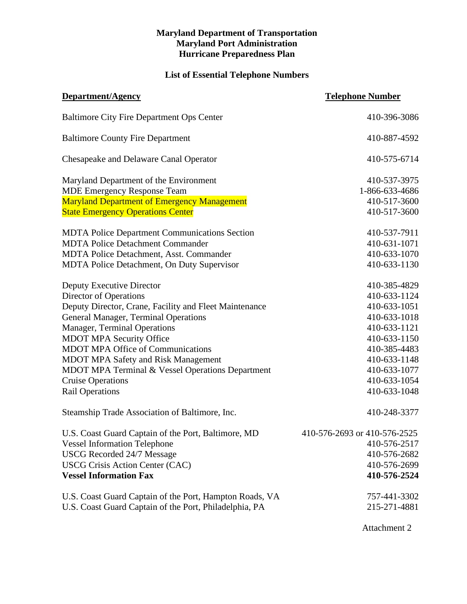## **List of Essential Telephone Numbers**

| Department/Agency                                       | <b>Telephone Number</b>      |
|---------------------------------------------------------|------------------------------|
| <b>Baltimore City Fire Department Ops Center</b>        | 410-396-3086                 |
| <b>Baltimore County Fire Department</b>                 | 410-887-4592                 |
| <b>Chesapeake and Delaware Canal Operator</b>           | 410-575-6714                 |
| Maryland Department of the Environment                  | 410-537-3975                 |
| <b>MDE Emergency Response Team</b>                      | 1-866-633-4686               |
| <b>Maryland Department of Emergency Management</b>      | 410-517-3600                 |
| <b>State Emergency Operations Center</b>                | 410-517-3600                 |
| <b>MDTA Police Department Communications Section</b>    | 410-537-7911                 |
| <b>MDTA Police Detachment Commander</b>                 | 410-631-1071                 |
| <b>MDTA Police Detachment, Asst. Commander</b>          | 410-633-1070                 |
| MDTA Police Detachment, On Duty Supervisor              | 410-633-1130                 |
| Deputy Executive Director                               | 410-385-4829                 |
| Director of Operations                                  | 410-633-1124                 |
| Deputy Director, Crane, Facility and Fleet Maintenance  | 410-633-1051                 |
| <b>General Manager, Terminal Operations</b>             | 410-633-1018                 |
| Manager, Terminal Operations                            | 410-633-1121                 |
| <b>MDOT MPA Security Office</b>                         | 410-633-1150                 |
| <b>MDOT MPA Office of Communications</b>                | 410-385-4483                 |
| MDOT MPA Safety and Risk Management                     | 410-633-1148                 |
| MDOT MPA Terminal & Vessel Operations Department        | 410-633-1077                 |
| <b>Cruise Operations</b>                                | 410-633-1054                 |
| <b>Rail Operations</b>                                  | 410-633-1048                 |
| Steamship Trade Association of Baltimore, Inc.          | 410-248-3377                 |
| U.S. Coast Guard Captain of the Port, Baltimore, MD     | 410-576-2693 or 410-576-2525 |
| <b>Vessel Information Telephone</b>                     | 410-576-2517                 |
| <b>USCG</b> Recorded 24/7 Message                       | 410-576-2682                 |
| <b>USCG Crisis Action Center (CAC)</b>                  | 410-576-2699                 |
| <b>Vessel Information Fax</b>                           | 410-576-2524                 |
| U.S. Coast Guard Captain of the Port, Hampton Roads, VA | 757-441-3302                 |
| U.S. Coast Guard Captain of the Port, Philadelphia, PA  | 215-271-4881                 |
|                                                         |                              |

Attachment 2